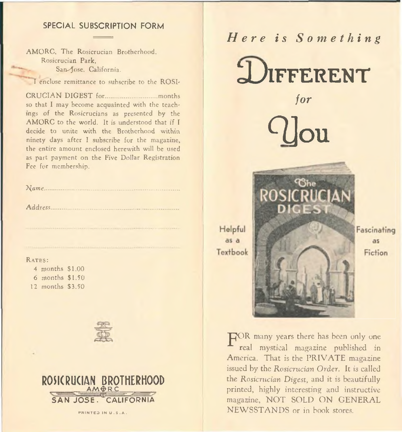# SPECIAL SUBSCRIPTION FORM

AMORC, The Rosicrucian Brotherhood. Rosicrucian Park, San-Jose. California.

CRUCIAN D IG EST for.............................. months so that I may become acquainted with the teachings of the Rosicrucians as presented by the AMORC to the world. It is understood that if I decide to unite with the Brotherhood within ninety days after I subscribe for the magazine, the entire amount enclosed herewith will be used as part payment on the Five Dollar Registration Fee for membership.

| Address |  |
|---------|--|
|         |  |
|         |  |
|         |  |

#### RATES:

4 months \$1.00 6 months \$1.50 12 months \$3.50





PRINTED IN U.S.A.

# *H e r e is S o m e t h i n g*

Rosicrucian Park,<br>
San Jose, California.<br>
I enclose remittance to subscribe to the ROSI-<br>
LIFFERENT

*for*

c you

ሚ<sub>ኩ</sub> ROSICRU Textbook

Helpful as a

Fascinating as Fiction

FOR many years there has been only one real mystical magazine published in America. That is the PRIVATE magazine issued by the *Rosicrucian Order.* It is called the *Rosicrucian Digest,* and it is beautifully printed, highly interesting and instructive magazine, NOT SOLD ON GENERAL NEWSSTANDS or in book stores.